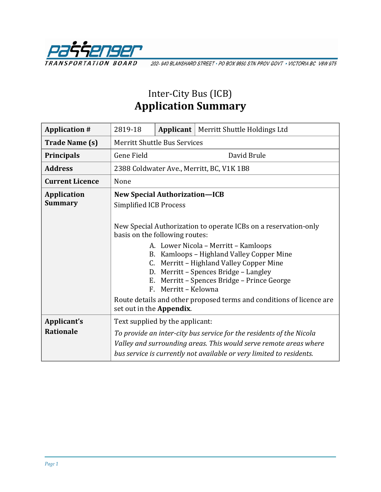

202-940 BLANSHARD STREET · PO BOX 9850 STN PROV GOVT · VICTORIA BC V8W 9T5

## Inter-City Bus (ICB) **Application Summary**

| <b>Application #</b>                 | 2819-18                                                                                                                                                                                                                                                                                                                                                                                                                                                                                             |  | <b>Applicant</b>   Merritt Shuttle Holdings Ltd                                                                                                                                                                   |  |
|--------------------------------------|-----------------------------------------------------------------------------------------------------------------------------------------------------------------------------------------------------------------------------------------------------------------------------------------------------------------------------------------------------------------------------------------------------------------------------------------------------------------------------------------------------|--|-------------------------------------------------------------------------------------------------------------------------------------------------------------------------------------------------------------------|--|
| <b>Trade Name (s)</b>                | <b>Merritt Shuttle Bus Services</b>                                                                                                                                                                                                                                                                                                                                                                                                                                                                 |  |                                                                                                                                                                                                                   |  |
| <b>Principals</b>                    | <b>Gene Field</b>                                                                                                                                                                                                                                                                                                                                                                                                                                                                                   |  | David Brule                                                                                                                                                                                                       |  |
| <b>Address</b>                       | 2388 Coldwater Ave., Merritt, BC, V1K 1B8                                                                                                                                                                                                                                                                                                                                                                                                                                                           |  |                                                                                                                                                                                                                   |  |
| <b>Current Licence</b>               | None                                                                                                                                                                                                                                                                                                                                                                                                                                                                                                |  |                                                                                                                                                                                                                   |  |
| <b>Application</b><br><b>Summary</b> | <b>New Special Authorization-ICB</b><br><b>Simplified ICB Process</b><br>New Special Authorization to operate ICBs on a reservation-only<br>basis on the following routes:<br>A. Lower Nicola – Merritt – Kamloops<br>B. Kamloops - Highland Valley Copper Mine<br>C. Merritt - Highland Valley Copper Mine<br>D. Merritt - Spences Bridge - Langley<br>E. Merritt - Spences Bridge - Prince George<br>F. Merritt - Kelowna<br>Route details and other proposed terms and conditions of licence are |  |                                                                                                                                                                                                                   |  |
|                                      | set out in the Appendix.                                                                                                                                                                                                                                                                                                                                                                                                                                                                            |  |                                                                                                                                                                                                                   |  |
| Applicant's<br><b>Rationale</b>      | Text supplied by the applicant:                                                                                                                                                                                                                                                                                                                                                                                                                                                                     |  | To provide an inter-city bus service for the residents of the Nicola<br>Valley and surrounding areas. This would serve remote areas where<br>bus service is currently not available or very limited to residents. |  |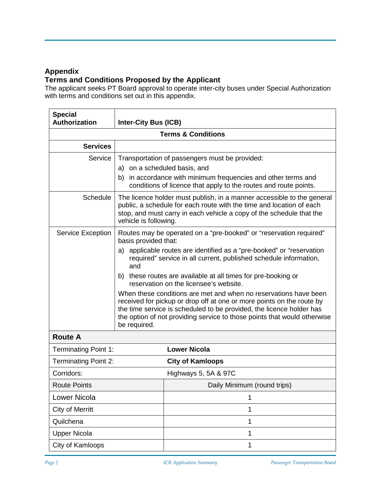## **Appendix**

## **Terms and Conditions Proposed by the Applicant**

The applicant seeks PT Board approval to operate inter-city buses under Special Authorization with terms and conditions set out in this appendix.

| <b>Special</b><br><b>Authorization</b> | <b>Inter-City Bus (ICB)</b>                                                                                                                                                                                                                                                                                   |                                                                                                                                                                                                             |  |  |  |  |
|----------------------------------------|---------------------------------------------------------------------------------------------------------------------------------------------------------------------------------------------------------------------------------------------------------------------------------------------------------------|-------------------------------------------------------------------------------------------------------------------------------------------------------------------------------------------------------------|--|--|--|--|
| <b>Terms &amp; Conditions</b>          |                                                                                                                                                                                                                                                                                                               |                                                                                                                                                                                                             |  |  |  |  |
| <b>Services</b>                        |                                                                                                                                                                                                                                                                                                               |                                                                                                                                                                                                             |  |  |  |  |
| Service                                | Transportation of passengers must be provided:<br>a) on a scheduled basis, and<br>b) in accordance with minimum frequencies and other terms and<br>conditions of licence that apply to the routes and route points.                                                                                           |                                                                                                                                                                                                             |  |  |  |  |
| <b>Schedule</b>                        | The licence holder must publish, in a manner accessible to the general<br>public, a schedule for each route with the time and location of each<br>stop, and must carry in each vehicle a copy of the schedule that the<br>vehicle is following.                                                               |                                                                                                                                                                                                             |  |  |  |  |
| Service Exception                      | Routes may be operated on a "pre-booked" or "reservation required"<br>basis provided that:                                                                                                                                                                                                                    |                                                                                                                                                                                                             |  |  |  |  |
|                                        | and                                                                                                                                                                                                                                                                                                           | a) applicable routes are identified as a "pre-booked" or "reservation<br>required" service in all current, published schedule information,<br>b) these routes are available at all times for pre-booking or |  |  |  |  |
|                                        | reservation on the licensee's website.                                                                                                                                                                                                                                                                        |                                                                                                                                                                                                             |  |  |  |  |
|                                        | When these conditions are met and when no reservations have been<br>received for pickup or drop off at one or more points on the route by<br>the time service is scheduled to be provided, the licence holder has<br>the option of not providing service to those points that would otherwise<br>be required. |                                                                                                                                                                                                             |  |  |  |  |
| <b>Route A</b>                         |                                                                                                                                                                                                                                                                                                               |                                                                                                                                                                                                             |  |  |  |  |
| <b>Terminating Point 1:</b>            |                                                                                                                                                                                                                                                                                                               | <b>Lower Nicola</b>                                                                                                                                                                                         |  |  |  |  |
| <b>Terminating Point 2:</b>            |                                                                                                                                                                                                                                                                                                               | <b>City of Kamloops</b>                                                                                                                                                                                     |  |  |  |  |
| Corridors:                             |                                                                                                                                                                                                                                                                                                               | Highways 5, 5A & 97C                                                                                                                                                                                        |  |  |  |  |
| <b>Route Points</b>                    |                                                                                                                                                                                                                                                                                                               | Daily Minimum (round trips)                                                                                                                                                                                 |  |  |  |  |
| Lower Nicola                           |                                                                                                                                                                                                                                                                                                               | 1                                                                                                                                                                                                           |  |  |  |  |
| <b>City of Merritt</b>                 |                                                                                                                                                                                                                                                                                                               | 1                                                                                                                                                                                                           |  |  |  |  |
| Quilchena                              |                                                                                                                                                                                                                                                                                                               | 1                                                                                                                                                                                                           |  |  |  |  |
| <b>Upper Nicola</b>                    |                                                                                                                                                                                                                                                                                                               | 1                                                                                                                                                                                                           |  |  |  |  |
| City of Kamloops                       |                                                                                                                                                                                                                                                                                                               | 1                                                                                                                                                                                                           |  |  |  |  |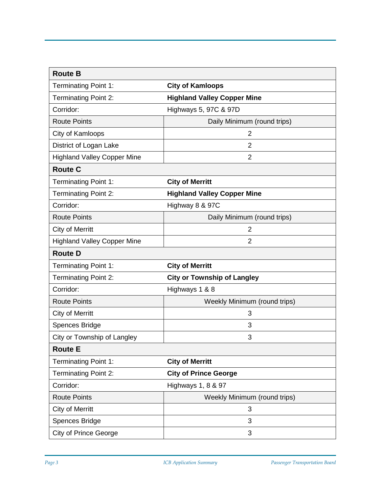| <b>Route B</b>                     |                                    |
|------------------------------------|------------------------------------|
| <b>Terminating Point 1:</b>        | <b>City of Kamloops</b>            |
| <b>Terminating Point 2:</b>        | <b>Highland Valley Copper Mine</b> |
| Corridor:                          | Highways 5, 97C & 97D              |
| <b>Route Points</b>                | Daily Minimum (round trips)        |
| City of Kamloops                   | $\overline{2}$                     |
| District of Logan Lake             | $\overline{2}$                     |
| <b>Highland Valley Copper Mine</b> | $\overline{2}$                     |
| <b>Route C</b>                     |                                    |
| <b>Terminating Point 1:</b>        | <b>City of Merritt</b>             |
| <b>Terminating Point 2:</b>        | <b>Highland Valley Copper Mine</b> |
| Corridor:                          | Highway 8 & 97C                    |
| <b>Route Points</b>                | Daily Minimum (round trips)        |
| <b>City of Merritt</b>             | 2                                  |
| <b>Highland Valley Copper Mine</b> | $\overline{2}$                     |
| <b>Route D</b>                     |                                    |
| <b>Terminating Point 1:</b>        | <b>City of Merritt</b>             |
| <b>Terminating Point 2:</b>        | <b>City or Township of Langley</b> |
| Corridor:                          | Highways 1 & 8                     |
| <b>Route Points</b>                | Weekly Minimum (round trips)       |
| <b>City of Merritt</b>             | 3                                  |
| <b>Spences Bridge</b>              | 3                                  |
| City or Township of Langley        | 3                                  |
| <b>Route E</b>                     |                                    |
| Terminating Point 1:               | <b>City of Merritt</b>             |
| <b>Terminating Point 2:</b>        | <b>City of Prince George</b>       |
| Corridor:                          | Highways 1, 8 & 97                 |
| <b>Route Points</b>                | Weekly Minimum (round trips)       |
| <b>City of Merritt</b>             | 3                                  |
| Spences Bridge                     | 3                                  |
| <b>City of Prince George</b>       | 3                                  |